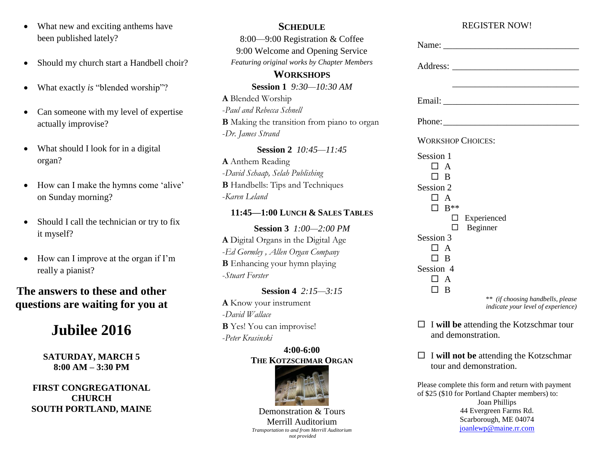- What new and exciting anthems have been published lately?
- Should my church start a Handbell choir?
- What exactly *is* "blended worship"?
- Can someone with my level of expertise actually improvise?
- What should I look for in a digital organ?
- How can I make the hymns come 'alive' on Sunday morning?
- Should I call the technician or try to fix it myself?
- How can I improve at the organ if I'm really a pianist?

# **The answers to these and other questions are waiting for you at**

# **Jubilee 2016**

**SATURDAY, MARCH 5 8:00 AM – 3:30 PM**

**FIRST CONGREGATIONAL CHURCH SOUTH PORTLAND, MAINE**

#### **SCHEDULE**

8:00—9:00 Registration & Coffee 9:00 Welcome and Opening Service *Featuring original works by Chapter Members*

## **WORKSHOPS**

**Session 1** *9:30—10:30 AM* **A** Blended Worship -*Paul and Rebecca Schnell* **B** Making the transition from piano to organ -*Dr. James Strand*

**Session 2** *10:45—11:45* **A** Anthem Reading -*David Schaap, Selah Publishing*  **B** Handbells: Tips and Techniques -*Karen Leland*

#### **11:45—1:00 LUNCH & SALES TABLES**

**Session 3** *1:00—2:00 PM* **A** Digital Organs in the Digital Age -*Ed Gormley , Allen Organ Company* **B** Enhancing your hymn playing -*Stuart Forster*

## **Session 4** *2:15—3:15* **A** Know your instrument -*David Wallace* **B** Yes! You can improvise! -*Peter Krasinski*

#### **4:00-6:00 THE KOTZSCHMAR ORGAN**



Demonstration & Tours Merrill Auditorium *Transportation to and from Merrill Auditorium not provided*

## REGISTER NOW!

| <b>WORKSHOP CHOICES:</b>                        |
|-------------------------------------------------|
| Session 1<br>$\Box$ A<br>ПΒ                     |
| Session 2<br>$\Box$ A<br>$\Box$ B <sup>**</sup> |
| Experienced                                     |
| Beginner<br>٦                                   |
| Session 3                                       |
| ПA                                              |
| $\Box$ B                                        |
| Session 4                                       |
| $\Box$ A                                        |
| ПΒ                                              |
| ** (if choosing handbells, please               |

*indicate your level of experience)*

- $\Box$  **I will be** attending the Kotzschmar tour and demonstration.
- I **will not be** attending the Kotzschmar tour and demonstration.

Please complete this form and return with payment of \$25 (\$10 for Portland Chapter members) to: Joan Phillips 44 Evergreen Farms Rd. Scarborough, ME 04074 [joanlewp@maine.rr.com](mailto:joanlewp@maine.rr.com?subject=Portland,%20ME%20Jubilee%202016)